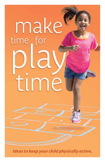

*Ideas to keep your child physically active.*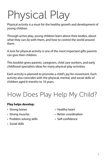# Physical Play

Physical activity is a must for the healthy growth and development of young children.

Through active play, young children learn about their bodies, about what they can do with them, and how to control the world around them.

A love for physical activity is one of the most important gifts parents can give their children.

This booklet gives parents, caregivers, child care workers, and early childhood specialists ideas for many physical play activities.

Each activity is planned to promote a child's joy for movement. Each activity also coincides with the physical, mental, and social skills of children aged 6 months to 10 years.

# How Does Play Help My Child?

## **Play helps develop:**

- 
- 
- Problem solving skills Self-confidence
- Social skills
- Strong bones Healthy heart
- Strong muscles Better coordination
	-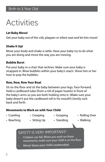### **Let Baby Move!**

Get your baby out of the crib, playpen or infant seat and let him move!

#### **Shake It Up!**

Move your body and shake a rattle. Have your baby try to do what you are doing and move the way you are moving.

#### **Bubble Burst**

Put your baby in a chair that reclines. Make sure your baby is strapped in. Blow bubbles within your baby's reach. Show him or her how to pop the bubbles.

#### **Row, Row, Row Your Boat**

Sit on the floor and sit the baby between your legs. Face forward. Hold a cardboard tube (from a roll of paper towels) in front of the baby's arms so you are both holding onto it. (Make sure your baby doesn't put the cardboard roll in his mouth!) Gently rock back and forth.

#### **Movements to Work on with Your Child**

- 
- 
- 
- Crawling Creeping Grasping Rolling Over
- 
- 
- 
- 
- Reaching Sitting Up Standing Walking
	-
- 

# SAFETY IS VERY IMPORTANT!

- • Children can fall. When you work on these movements, make sure your child is on the floor.
- •Never leave your child unattended.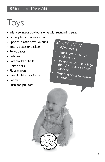# Toys

- Infant swing or outdoor swing with restraining strap
- Large, plastic snap-lock beads
- Spoons, plastic bowls or cups
- Empty boxes or baskets
- Pop-up toys
- Bubbles
- Soft blocks or balls
- Chime bells
- Floor mirrors
- Low climbing platforms
- Pat mat
- Push and pull cars

# SAFETY IS VERY IMPORTANT!

•

•

•

- Small toys can pose a choking risk.
- Make sure items are bigger than the inside of a toilet paper roll.
- Bags and boxes can cause suffocation.

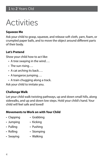### **Squeeze Me**

Ask your child to grasp, squeeze, and release soft cloth, yarn, foam, or crumpled paper balls, and to move the object around different parts of their body.

### **Let's Pretend**

Show your child how to act like:

- A tree swaying in the wind….
- The sun rising….
- A cat arching its back….
- A kangaroo jumping….
- A train chugging along a track.

Ask your child to imitate you.

## **Challenge Walk**

Let your child walk twisting pathways, up and down small hills, along sidewalks, and up and down low steps. Hold your child's hand. Your child will feel safe and loved!

- Clapping Grabbing
	-
- Jumping Kicking
- Pulling Pushing
- Rolling Stomping
- Swaying Walking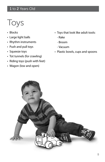# 1 to 2 Years Old

# Toys

- Blocks
- Large light balls
- Rhythm instruments
- Push and pull toys
- Squeeze toys
- Tot tunnels (for crawling)
- Riding toys (push with feet)
- Wagon (low and open)
- Toys that look like adult tools:
	- Rake
	- Broom
	- Vacuum
- Plastic bowls, cups and spoons

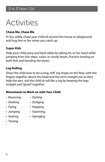### **Chase Me, Chase Me**

In fun, safely chase your child all around the house or playground and hug him or her when you catch up.

#### **Super Kids**

Help your child jump and land safely by taking his or her hand while jumping from low steps, curbs, or sturdy boxes. Practice landing on both feet and bending the knees.

### **Log Rolling**

Show the child how to be a long, stiff, log shape on the floor with the fingers together above the head and the arms straight out so they hide the ears. Ask the child to roll like a log by keeping the legs straight and "glued" together.

- Bouncing Darting
- 
- Dashing Dodging
	-
- 
- Flying Hopping
- Jumping Searching
- Soaring Springing
- Tossing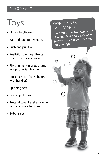# 2 to 3 Years Old

Toys

- Light wheelbarrow
- Ball and bat (light weight)
- Push and pull toys
- Realistic riding toys like cars, tractors, motorcycles, etc.
- Rhythm instruments: drums, xylophone, tamborine
- Rocking horse (waist height with handles)
- Spinning seat
- Dress up clothes
- Pretend toys like rakes, kitchen sets, and work benches
- Bubble set

# SAFETY IS VERY IMPORTANT!

Warning! Small toys can cause choking. Make sure kids only play with toys recommended for their age.

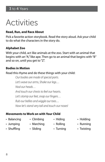### **Read, Run, and Race About**

Pick a favorite action storybook. Read the story aloud. Ask your child to do what the characters in the story do.

#### **Alphabet Zoo**

With your child, act like animals at the zoo. Start with an animal that begins with an "A," like ape. Then go to an animal that begins with "B" and so on, until you get to "Z".

#### **Bodies in Motion**

Read this rhyme and do these things with your child:

*Our bodies are made of special parts. Let's wave our arms, Shake our legs… Nod our heads… And touch our chests to feel our hearts. Let's stomp our feet, snap our fingers… Rub our bellies and wiggle our toes… Now let's stand very tall and touch our noses!*

- Balancing Climbing Hiding Holding
	-
- Jumping Marching Rolling Running
- -
- Shuffling Sliding Turning Twisting
	-
- 
- 
- 
-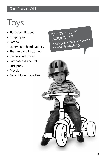# 3 to 4 Years Old

Toys

- Plastic bowling set
- Jump ropes
- Soft balls
- Lightweight hand paddles
- Rhythm band instruments
- Toy cars and trucks
- Soft baseball and bat
- Stick pony
- Tricycle
- Baby dolls with strollers

SAFETY IS VERY IMPORTANT! A safe play area is one where an adult is watching.

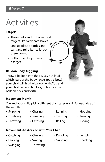### **Targets**

- Throw balls and soft objects at targets like cardboard boxes.
- Line up plastic bottles and cans and roll a ball to knock them down.
- Roll a Hula-Hoop toward a target.

# **Balloon Body Juggling**

Throw a balloon into the air. Say out loud which part of the body (knee, foot, elbow) your child will hit the balloon with. You and your child can also hit, kick, or bounce the balloon back and forth.

## **Movement Month**

You and your child pick a different physical play skill for each day of the month:

- Skipping Chasing Punning Hopping
- Tumbling Jumping Twisting Turning
- 
- 
- Throwing Catching Rolling Kicking

- 
- Swinging Throwing
- 
- -
- Catching Chasing Dangling Jumping
	-
- 
- Leaping Skating Skipping Sneaking
- 
- 
-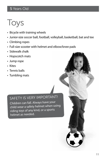# 5 Years Old

# Toys

- Bicycle with training wheels
- Junior-size soccer ball, football, volleyball, basketball, bat and tee
- Climbing ropes
- Full-size scooter with helmet and elbow/knee pads
- Sidewalk chalk
- Hopscotch mats
- Jump rope
- Kites
- Tennis balls
- Tumbling mats

# SAFETY IS VERY IMPORTANT!

Children can fall. Always have your child wear a safety helmet when using riding toys of any kind, or a sports helmet as needed.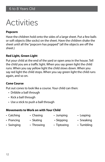### **Popcorn**

Have the children hold onto the sides of a large sheet. Put a few balls or soft objects (like socks) on the sheet. Have the children shake the sheet until all the "popcorn has popped" (all the objects are off the sheet.)

### **Red Light, Green Light**

Put your child at the end of the yard or open area in the house. Tell the child you are a traffic light. When you say green light the child runs. When you say yellow light the child slows down. When you say red light the child stops. When you say green light the child runs again, and so on.

### **Cone Course**

Put out cones to look like a course. Your child can then:

- Dribble a ball through
- Kick a ball through
- Use a stick to push a ball through

- 
- Catching Chasing Jumping Leaping
- 
- Prancing Skating Skipping Sneaking
- 
- 
- 
- -
- 
- 
- Swinging Throwing Tiptoeing Tumbling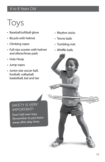# 6 to 8 Years Old

# Toys

- Baseball/softball glove
- Bicycle with helmet
- Climbing ropes
- Full-size scooter with helmet and elbow/knee pads
- Hula-Hoop
- Jump ropes
- Junior-size soccer ball, football, volleyball, basketball, bat and tee
- Rhythm sticks
- Tennis balls
- Tumbling mat
- Whiffle balls

# SAFETY IS VERY IMPORTANT!

Don't fall over toys. Remember to put them away after play time.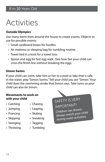## **Outside Olympics**

Use many items from around the house to create events. Objects to use for possible events:

- Small cardboard boxes for hurdles.
- Air mattress or sleeping bag for tumbling routine.
- Towel tied in a knot for a towel toss.
- Spoon and egg for fast egg walk. (See how fast your child can cross the finish line without breaking the egg).

#### **Simon Swims**

If your child can swim, take him or her to a pool or lake that is safe. In the water, play "Simon Swims." Tell your child you are "Simon." Your child does the swimming stroke that Simon says. Take turns so your child can also be Simon.

#### **Movements to work on with your child**

- 
- Catching Chasing
- Jumping Leaping
	-
- Prancing Skating
- Skipping Sneaking
- Swinging Tagging
	-
- 
- Throwing Tumbling

SAFETY IS VERY IMPORTANT! Children can drown. Always watch your child during water activities.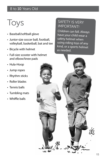# 8 to 10 Years Old

# Toys

- Baseball/softball glove
- Junior-size soccer ball, football, volleyball, basketball, bat and tee
- Bicycle with helmet
- Full-size scooter with helmet and elbow/knee pads
- Hula-Hoop
- Jump ropes
- Rhythm sticks
- Roller blades
- Tennis balls
- Tumbling mats
- Whiffle balls

# SAFETY IS VERY IMPORTANT!

Children can fall. Always have your child wear a safety helmet when using riding toys of any kind, or a sports helmet as needed.

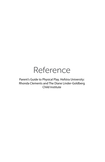# Reference

Parent's Guide to Physical Play. Hofstra University: Rhonda Clements and The Diane Linder-Goldberg Child Institute